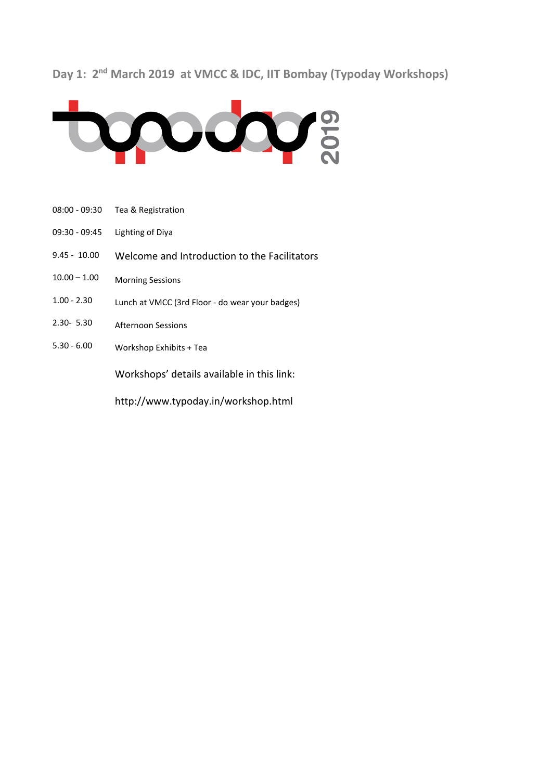## Day 1: 2<sup>nd</sup> March 2019 at VMCC & IDC, IIT Bombay (Typoday Workshops)



- 08:00 09:30 Tea & Registration
- 09:30 09:45 Lighting of Diya
- 9.45 10.00 Welcome and Introduction to the Facilitators
- $10.00 1.00$ Morning Sessions
- 1.00 2.30 Lunch at VMCC (3rd Floor - do wear your badges)
- 2.30- 5.30 Afternoon Sessions
- 5.30 6.00 Workshop Exhibits + Tea

Workshops' details available in this link:

http://www.typoday.in/workshop.html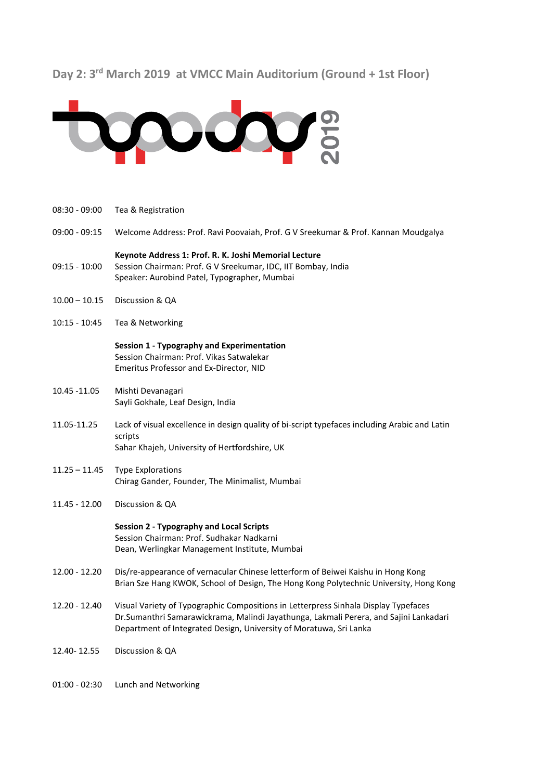# **Day 2: 3rd March 2019 at VMCC Main Auditorium (Ground + 1st Floor)**



- 08:30 09:00 Tea & Registration
- 09:00 09:15 Welcome Address: Prof. Ravi Poovaiah, Prof. G V Sreekumar & Prof. Kannan Moudgalya

#### **Keynote Address 1: Prof. R. K. Joshi Memorial Lecture**

- 09:15 10:00 Session Chairman: Prof. G V Sreekumar, IDC, IIT Bombay, India Speaker: Aurobind Patel, Typographer, Mumbai
- 10.00 10.15 Discussion & QA
- 10:15 10:45 Tea & Networking

### **Session 1 - Typography and Experimentation** Session Chairman: Prof. Vikas Satwalekar Emeritus Professor and Ex-Director, NID

- 10.45 -11.05 Mishti Devanagari Sayli Gokhale, Leaf Design, India
- 11.05-11.25 Lack of visual excellence in design quality of bi-script typefaces including Arabic and Latin scripts Sahar Khajeh, University of Hertfordshire, UK
- 11.25 11.45 Type Explorations Chirag Gander, Founder, The Minimalist, Mumbai
- 11.45 12.00 Discussion & QA

### **Session 2 - Typography and Local Scripts** Session Chairman: Prof. Sudhakar Nadkarni Dean, Werlingkar Management Institute, Mumbai

- 12.00 12.20 Dis/re-appearance of vernacular Chinese letterform of Beiwei Kaishu in Hong Kong Brian Sze Hang KWOK, School of Design, The Hong Kong Polytechnic University, Hong Kong
- 12.20 12.40 Visual Variety of Typographic Compositions in Letterpress Sinhala Display Typefaces Dr.Sumanthri Samarawickrama, Malindi Jayathunga, Lakmali Perera, and Sajini Lankadari Department of Integrated Design, University of Moratuwa, Sri Lanka
- 12.40- 12.55 Discussion & QA
- 01:00 02:30 Lunch and Networking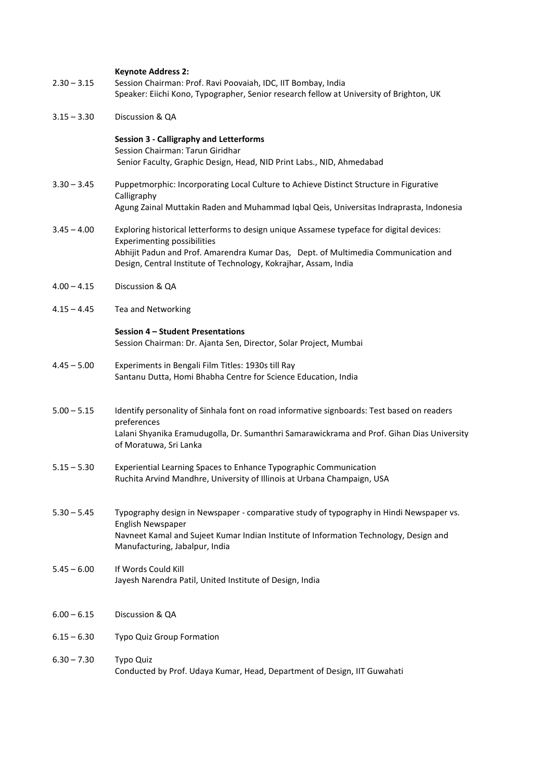| $2.30 - 3.15$ | <b>Keynote Address 2:</b><br>Session Chairman: Prof. Ravi Poovaiah, IDC, IIT Bombay, India<br>Speaker: Eiichi Kono, Typographer, Senior research fellow at University of Brighton, UK                                                                                                    |
|---------------|------------------------------------------------------------------------------------------------------------------------------------------------------------------------------------------------------------------------------------------------------------------------------------------|
| $3.15 - 3.30$ | Discussion & QA                                                                                                                                                                                                                                                                          |
|               | <b>Session 3 - Calligraphy and Letterforms</b><br>Session Chairman: Tarun Giridhar<br>Senior Faculty, Graphic Design, Head, NID Print Labs., NID, Ahmedabad                                                                                                                              |
| $3.30 - 3.45$ | Puppetmorphic: Incorporating Local Culture to Achieve Distinct Structure in Figurative<br>Calligraphy<br>Agung Zainal Muttakin Raden and Muhammad Iqbal Qeis, Universitas Indraprasta, Indonesia                                                                                         |
| $3.45 - 4.00$ | Exploring historical letterforms to design unique Assamese typeface for digital devices:<br><b>Experimenting possibilities</b><br>Abhijit Padun and Prof. Amarendra Kumar Das, Dept. of Multimedia Communication and<br>Design, Central Institute of Technology, Kokrajhar, Assam, India |
| $4.00 - 4.15$ | Discussion & QA                                                                                                                                                                                                                                                                          |
| $4.15 - 4.45$ | Tea and Networking                                                                                                                                                                                                                                                                       |
|               | Session 4 - Student Presentations<br>Session Chairman: Dr. Ajanta Sen, Director, Solar Project, Mumbai                                                                                                                                                                                   |
| $4.45 - 5.00$ | Experiments in Bengali Film Titles: 1930s till Ray<br>Santanu Dutta, Homi Bhabha Centre for Science Education, India                                                                                                                                                                     |
| $5.00 - 5.15$ | Identify personality of Sinhala font on road informative signboards: Test based on readers<br>preferences<br>Lalani Shyanika Eramudugolla, Dr. Sumanthri Samarawickrama and Prof. Gihan Dias University<br>of Moratuwa, Sri Lanka                                                        |
| $5.15 - 5.30$ | Experiential Learning Spaces to Enhance Typographic Communication<br>Ruchita Arvind Mandhre, University of Illinois at Urbana Champaign, USA                                                                                                                                             |
| $5.30 - 5.45$ | Typography design in Newspaper - comparative study of typography in Hindi Newspaper vs.<br>English Newspaper<br>Navneet Kamal and Sujeet Kumar Indian Institute of Information Technology, Design and<br>Manufacturing, Jabalpur, India                                                  |
| $5.45 - 6.00$ | If Words Could Kill<br>Jayesh Narendra Patil, United Institute of Design, India                                                                                                                                                                                                          |
| $6.00 - 6.15$ | Discussion & QA                                                                                                                                                                                                                                                                          |
| $6.15 - 6.30$ | Typo Quiz Group Formation                                                                                                                                                                                                                                                                |
| $6.30 - 7.30$ | Typo Quiz<br>Conducted by Prof. Udaya Kumar, Head, Department of Design, IIT Guwahati                                                                                                                                                                                                    |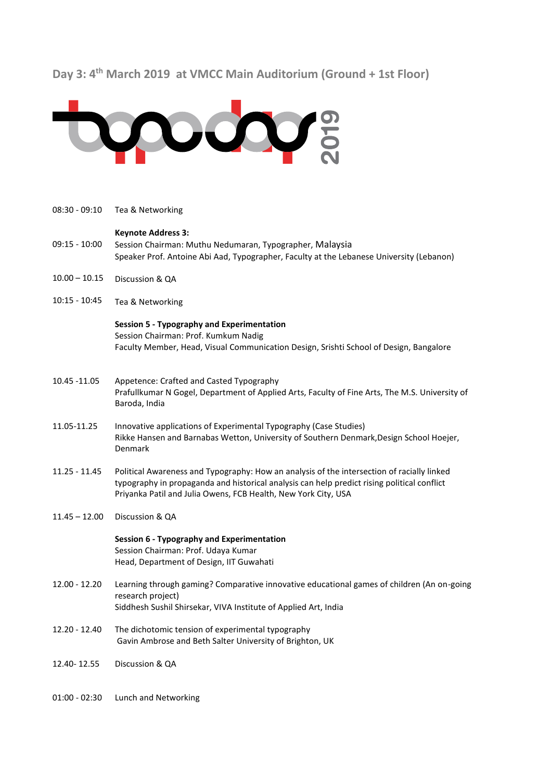# **Day 3: 4th March 2019 at VMCC Main Auditorium (Ground + 1st Floor)**



08:30 - 09:10 09:15 - 10:00  $10.00 - 10.15$ 10:15 - 10:45 Tea & Networking **Keynote Address 3:**  Session Chairman: Muthu Nedumaran, Typographer, Malaysia Speaker Prof. Antoine Abi Aad, Typographer, Faculty at the Lebanese University (Lebanon) Discussion & QA Tea & Networking 10.45 -11.05 11.05-11.25 11.25 - 11.45  $11.45 - 12.00$ **Session 5 - Typography and Experimentation** Session Chairman: Prof. Kumkum Nadig Faculty Member, Head, Visual Communication Design, Srishti School of Design, Bangalore Appetence: Crafted and Casted Typography Prafullkumar N Gogel, Department of Applied Arts, Faculty of Fine Arts, The M.S. University of Baroda, India Innovative applications of Experimental Typography (Case Studies) Rikke Hansen and Barnabas Wetton, University of Southern Denmark,Design School Hoejer, Denmark Political Awareness and Typography: How an analysis of the intersection of racially linked typography in propaganda and historical analysis can help predict rising political conflict Priyanka Patil and Julia Owens, FCB Health, New York City, USA Discussion & QA 12.00 - 12.20 12.20 - 12.40 12.40- 12.55 **Session 6 - Typography and Experimentation** Session Chairman: Prof. Udaya Kumar Head, Department of Design, IIT Guwahati Learning through gaming? Comparative innovative educational games of children (An on-going research project) Siddhesh Sushil Shirsekar, VIVA Institute of Applied Art, India The dichotomic tension of experimental typography Gavin Ambrose and Beth Salter University of Brighton, UK Discussion & QA 01:00 - 02:30 Lunch and Networking